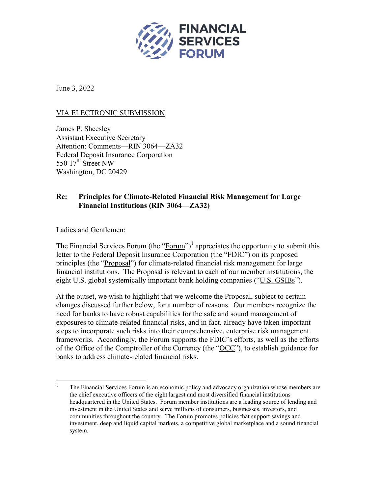

June 3, 2022

## VIA ELECTRONIC SUBMISSION

James P. Sheesley Assistant Executive Secretary Attention: Comments—RIN 3064—ZA32 Federal Deposit Insurance Corporation 550  $17<sup>th</sup>$  Street NW Washington, DC 20429

## **Re: Principles for Climate-Related Financial Risk Management for Large Financial Institutions (RIN 3064—ZA32)**

Ladies and Gentlemen:

The Financial Services Forum (the "Forum")<sup>1</sup> appreciates the opportunity to submit this letter to the Federal Deposit Insurance Corporation (the "FDIC") on its proposed principles (the "Proposal") for climate-related financial risk management for large financial institutions. The Proposal is relevant to each of our member institutions, the eight U.S. global systemically important bank holding companies ("U.S. GSIBs").

At the outset, we wish to highlight that we welcome the Proposal, subject to certain changes discussed further below, for a number of reasons. Our members recognize the need for banks to have robust capabilities for the safe and sound management of exposures to climate-related financial risks, and in fact, already have taken important steps to incorporate such risks into their comprehensive, enterprise risk management frameworks. Accordingly, the Forum supports the FDIC's efforts, as well as the efforts of the Office of the Comptroller of the Currency (the "OCC"), to establish guidance for banks to address climate-related financial risks.

<sup>&</sup>lt;sup>1</sup> The Financial Services Forum is an economic policy and advocacy organization whose members are the chief executive officers of the eight largest and most diversified financial institutions headquartered in the United States. Forum member institutions are a leading source of lending and investment in the United States and serve millions of consumers, businesses, investors, and communities throughout the country. The Forum promotes policies that support savings and investment, deep and liquid capital markets, a competitive global marketplace and a sound financial system.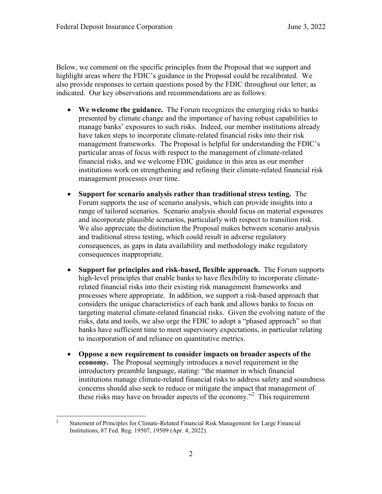Below, we comment on the specific principles from the Proposal that we support and highlight areas where the FDIC's guidance in the Proposal could be recalibrated. We also provide responses to certain questions posed by the FDIC throughout our letter, as indicated. Our key observations and recommendations are as follows:

- We welcome the guidance. The Forum recognizes the emerging risks to banks presented by climate change and the importance of having robust capabilities to manage banks' exposures to such risks. Indeed, our member institutions already have taken steps to incorporate climate-related financial risks into their risk management frameworks. The Proposal is helpful for understanding the FDIC's particular areas of focus with respect to the management of climate-related financial risks, and we welcome FDIC guidance in this area as our member institutions work on strengthening and refining their climate-related financial risk management processes over time.
- x **Support for scenario analysis rather than traditional stress testing.** The Forum supports the use of scenario analysis, which can provide insights into a range of tailored scenarios. Scenario analysis should focus on material exposures and incorporate plausible scenarios, particularly with respect to transition risk. We also appreciate the distinction the Proposal makes between scenario analysis and traditional stress testing, which could result in adverse regulatory consequences, as gaps in data availability and methodology make regulatory consequences inappropriate.
- x **Support for principles and risk-based, flexible approach.** The Forum supports high-level principles that enable banks to have flexibility to incorporate climaterelated financial risks into their existing risk management frameworks and processes where appropriate. In addition, we support a risk-based approach that considers the unique characteristics of each bank and allows banks to focus on targeting material climate-related financial risks. Given the evolving nature of the risks, data and tools, we also urge the FDIC to adopt a "phased approach" so that banks have sufficient time to meet supervisory expectations, in particular relating to incorporation of and reliance on quantitative metrics.
- x **Oppose a new requirement to consider impacts on broader aspects of the economy.** The Proposal seemingly introduces a novel requirement in the introductory preamble language, stating: "the manner in which financial institutions manage climate-related financial risks to address safety and soundness concerns should also seek to reduce or mitigate the impact that management of these risks may have on broader aspects of the economy."<sup>2</sup> This requirement

<sup>&</sup>lt;sup>2</sup> Statement of Principles for Climate-Related Financial Risk Management for Large Financial Institutions, 87 Fed. Reg. 19507, 19509 (Apr. 4, 2022).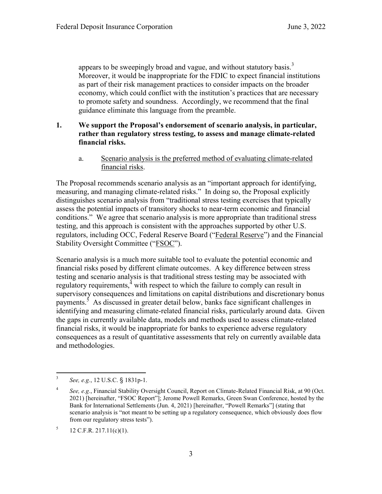appears to be sweepingly broad and vague, and without statutory basis.<sup>3</sup> Moreover, it would be inappropriate for the FDIC to expect financial institutions as part of their risk management practices to consider impacts on the broader economy, which could conflict with the institution's practices that are necessary to promote safety and soundness. Accordingly, we recommend that the final guidance eliminate this language from the preamble.

### **1. We support the Proposal's endorsement of scenario analysis, in particular, rather than regulatory stress testing, to assess and manage climate-related financial risks.**

a. Scenario analysis is the preferred method of evaluating climate-related financial risks.

The Proposal recommends scenario analysis as an "important approach for identifying, measuring, and managing climate-related risks." In doing so, the Proposal explicitly distinguishes scenario analysis from "traditional stress testing exercises that typically assess the potential impacts of transitory shocks to near-term economic and financial conditions." We agree that scenario analysis is more appropriate than traditional stress testing, and this approach is consistent with the approaches supported by other U.S. regulators, including OCC, Federal Reserve Board ("Federal Reserve") and the Financial Stability Oversight Committee ("FSOC").

Scenario analysis is a much more suitable tool to evaluate the potential economic and financial risks posed by different climate outcomes. A key difference between stress testing and scenario analysis is that traditional stress testing may be associated with regulatory requirements, $4$  with respect to which the failure to comply can result in supervisory consequences and limitations on capital distributions and discretionary bonus payments.<sup>5</sup> As discussed in greater detail below, banks face significant challenges in identifying and measuring climate-related financial risks, particularly around data. Given the gaps in currently available data, models and methods used to assess climate-related financial risks, it would be inappropriate for banks to experience adverse regulatory consequences as a result of quantitative assessments that rely on currently available data and methodologies.

 <sup>3</sup> *See, e.g.*, 12 U.S.C. § 1831p-1.

<sup>4</sup> *See, e.g.*, Financial Stability Oversight Council, Report on Climate-Related Financial Risk, at 90 (Oct. 2021) [hereinafter, "FSOC Report"]; Jerome Powell Remarks, Green Swan Conference, hosted by the Bank for International Settlements (Jun. 4, 2021) [hereinafter, "Powell Remarks"] (stating that scenario analysis is "not meant to be setting up a regulatory consequence, which obviously does flow from our regulatory stress tests").

 $^{5}$  12 C.F.R. 217.11(c)(1).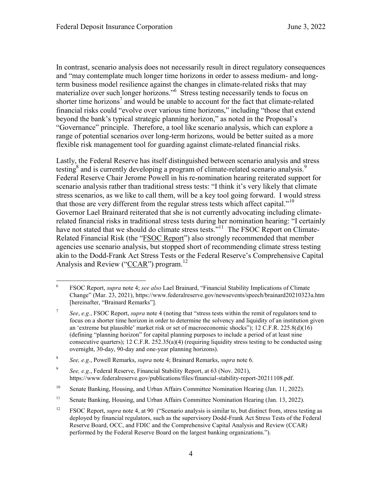In contrast, scenario analysis does not necessarily result in direct regulatory consequences and "may contemplate much longer time horizons in order to assess medium- and longterm business model resilience against the changes in climate-related risks that may materialize over such longer horizons."<sup>6</sup> Stress testing necessarily tends to focus on shorter time horizons<sup>7</sup> and would be unable to account for the fact that climate-related financial risks could "evolve over various time horizons," including "those that extend beyond the bank's typical strategic planning horizon," as noted in the Proposal's "Governance" principle. Therefore, a tool like scenario analysis, which can explore a range of potential scenarios over long-term horizons, would be better suited as a more flexible risk management tool for guarding against climate-related financial risks.

Lastly, the Federal Reserve has itself distinguished between scenario analysis and stress testing $8$  and is currently developing a program of climate-related scenario analysis.<sup>9</sup> Federal Reserve Chair Jerome Powell in his re-nomination hearing reiterated support for scenario analysis rather than traditional stress tests: "I think it's very likely that climate stress scenarios, as we like to call them, will be a key tool going forward. I would stress that those are very different from the regular stress tests which affect capital."<sup>10</sup> Governor Lael Brainard reiterated that she is not currently advocating including climaterelated financial risks in traditional stress tests during her nomination hearing: "I certainly have not stated that we should do climate stress tests."<sup>11</sup> The FSOC Report on Climate-Related Financial Risk (the "FSOC Report") also strongly recommended that member agencies use scenario analysis, but stopped short of recommending climate stress testing akin to the Dodd-Frank Act Stress Tests or the Federal Reserve's Comprehensive Capital Analysis and Review ("CCAR") program.<sup>12</sup>

<sup>8</sup> *See, e.g.*, Powell Remarks, *supra* note 4; Brainard Remarks, *supra* note 6.

 <sup>6</sup> FSOC Report, *supra* note 4; *see also* Lael Brainard, "Financial Stability Implications of Climate Change" (Mar. 23, 2021), https://www.federalreserve.gov/newsevents/speech/brainard20210323a.htm [hereinafter, "Brainard Remarks"].

<sup>7</sup> *See*, *e.g.*, FSOC Report, *supra* note 4 (noting that "stress tests within the remit of regulators tend to focus on a shorter time horizon in order to determine the solvency and liquidity of an institution given an 'extreme but plausible' market risk or set of macroeconomic shocks"); 12 C.F.R. 225.8(d)(16) (defining "planning horizon" for capital planning purposes to include a period of at least nine consecutive quarters);  $12$  C.F.R.  $252.35(a)(4)$  (requiring liquidity stress testing to be conducted using overnight, 30-day, 90-day and one-year planning horizons).

<sup>9</sup> *See, e.g.*, Federal Reserve, Financial Stability Report, at 63 (Nov. 2021), https://www.federalreserve.gov/publications/files/financial-stability-report-20211108.pdf.

<sup>&</sup>lt;sup>10</sup> Senate Banking, Housing, and Urban Affairs Committee Nomination Hearing (Jan. 11, 2022).

<sup>&</sup>lt;sup>11</sup> Senate Banking, Housing, and Urban Affairs Committee Nomination Hearing (Jan. 13, 2022).

<sup>12</sup> FSOC Report, *supra* note 4, at 90 ("Scenario analysis is similar to, but distinct from, stress testing as deployed by financial regulators, such as the supervisory Dodd-Frank Act Stress Tests of the Federal Reserve Board, OCC, and FDIC and the Comprehensive Capital Analysis and Review (CCAR) performed by the Federal Reserve Board on the largest banking organizations.").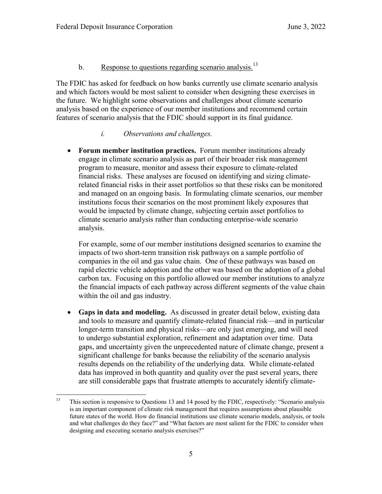# b. Response to questions regarding scenario analysis.<sup>13</sup>

The FDIC has asked for feedback on how banks currently use climate scenario analysis and which factors would be most salient to consider when designing these exercises in the future. We highlight some observations and challenges about climate scenario analysis based on the experience of our member institutions and recommend certain features of scenario analysis that the FDIC should support in its final guidance.

### *i. Observations and challenges.*

• **Forum member institution practices.** Forum member institutions already engage in climate scenario analysis as part of their broader risk management program to measure, monitor and assess their exposure to climate-related financial risks. These analyses are focused on identifying and sizing climaterelated financial risks in their asset portfolios so that these risks can be monitored and managed on an ongoing basis. In formulating climate scenarios, our member institutions focus their scenarios on the most prominent likely exposures that would be impacted by climate change, subjecting certain asset portfolios to climate scenario analysis rather than conducting enterprise-wide scenario analysis.

For example, some of our member institutions designed scenarios to examine the impacts of two short-term transition risk pathways on a sample portfolio of companies in the oil and gas value chain. One of these pathways was based on rapid electric vehicle adoption and the other was based on the adoption of a global carbon tax. Focusing on this portfolio allowed our member institutions to analyze the financial impacts of each pathway across different segments of the value chain within the oil and gas industry.

• Gaps in data and modeling. As discussed in greater detail below, existing data and tools to measure and quantify climate-related financial risk—and in particular longer-term transition and physical risks—are only just emerging, and will need to undergo substantial exploration, refinement and adaptation over time. Data gaps, and uncertainty given the unprecedented nature of climate change, present a significant challenge for banks because the reliability of the scenario analysis results depends on the reliability of the underlying data. While climate-related data has improved in both quantity and quality over the past several years, there are still considerable gaps that frustrate attempts to accurately identify climate-

<sup>&</sup>lt;sup>13</sup> This section is responsive to Questions 13 and 14 posed by the FDIC, respectively: "Scenario analysis is an important component of climate risk management that requires assumptions about plausible future states of the world. How do financial institutions use climate scenario models, analysis, or tools and what challenges do they face?" and "What factors are most salient for the FDIC to consider when designing and executing scenario analysis exercises?"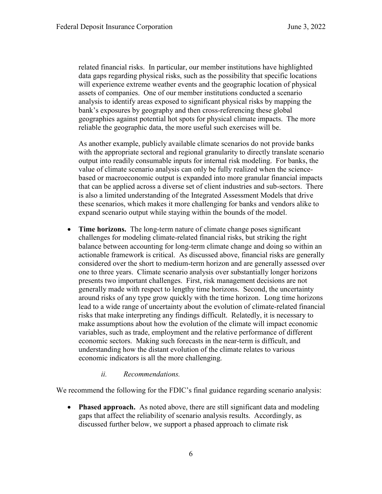related financial risks. In particular, our member institutions have highlighted data gaps regarding physical risks, such as the possibility that specific locations will experience extreme weather events and the geographic location of physical assets of companies. One of our member institutions conducted a scenario analysis to identify areas exposed to significant physical risks by mapping the bank's exposures by geography and then cross-referencing these global geographies against potential hot spots for physical climate impacts. The more reliable the geographic data, the more useful such exercises will be.

As another example, publicly available climate scenarios do not provide banks with the appropriate sectoral and regional granularity to directly translate scenario output into readily consumable inputs for internal risk modeling. For banks, the value of climate scenario analysis can only be fully realized when the sciencebased or macroeconomic output is expanded into more granular financial impacts that can be applied across a diverse set of client industries and sub-sectors. There is also a limited understanding of the Integrated Assessment Models that drive these scenarios, which makes it more challenging for banks and vendors alike to expand scenario output while staying within the bounds of the model.

- **Time horizons.** The long-term nature of climate change poses significant challenges for modeling climate-related financial risks, but striking the right balance between accounting for long-term climate change and doing so within an actionable framework is critical. As discussed above, financial risks are generally considered over the short to medium-term horizon and are generally assessed over one to three years. Climate scenario analysis over substantially longer horizons presents two important challenges. First, risk management decisions are not generally made with respect to lengthy time horizons. Second, the uncertainty around risks of any type grow quickly with the time horizon. Long time horizons lead to a wide range of uncertainty about the evolution of climate-related financial risks that make interpreting any findings difficult. Relatedly, it is necessary to make assumptions about how the evolution of the climate will impact economic variables, such as trade, employment and the relative performance of different economic sectors. Making such forecasts in the near-term is difficult, and understanding how the distant evolution of the climate relates to various economic indicators is all the more challenging.
	- *ii. Recommendations.*

We recommend the following for the FDIC's final guidance regarding scenario analysis:

• **Phased approach.** As noted above, there are still significant data and modeling gaps that affect the reliability of scenario analysis results. Accordingly, as discussed further below, we support a phased approach to climate risk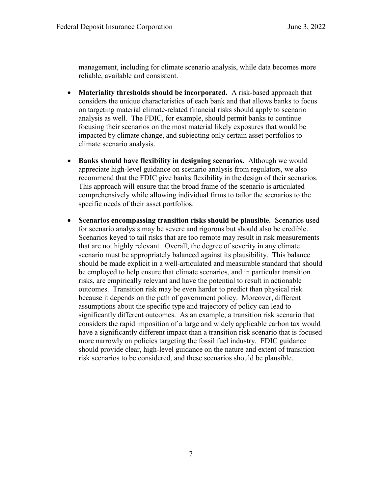management, including for climate scenario analysis, while data becomes more reliable, available and consistent.

- Materiality thresholds should be incorporated. A risk-based approach that considers the unique characteristics of each bank and that allows banks to focus on targeting material climate-related financial risks should apply to scenario analysis as well. The FDIC, for example, should permit banks to continue focusing their scenarios on the most material likely exposures that would be impacted by climate change, and subjecting only certain asset portfolios to climate scenario analysis.
- **Banks should have flexibility in designing scenarios.** Although we would appreciate high-level guidance on scenario analysis from regulators, we also recommend that the FDIC give banks flexibility in the design of their scenarios. This approach will ensure that the broad frame of the scenario is articulated comprehensively while allowing individual firms to tailor the scenarios to the specific needs of their asset portfolios.
- x **Scenarios encompassing transition risks should be plausible.** Scenarios used for scenario analysis may be severe and rigorous but should also be credible. Scenarios keyed to tail risks that are too remote may result in risk measurements that are not highly relevant. Overall, the degree of severity in any climate scenario must be appropriately balanced against its plausibility. This balance should be made explicit in a well-articulated and measurable standard that should be employed to help ensure that climate scenarios, and in particular transition risks, are empirically relevant and have the potential to result in actionable outcomes. Transition risk may be even harder to predict than physical risk because it depends on the path of government policy. Moreover, different assumptions about the specific type and trajectory of policy can lead to significantly different outcomes. As an example, a transition risk scenario that considers the rapid imposition of a large and widely applicable carbon tax would have a significantly different impact than a transition risk scenario that is focused more narrowly on policies targeting the fossil fuel industry. FDIC guidance should provide clear, high-level guidance on the nature and extent of transition risk scenarios to be considered, and these scenarios should be plausible.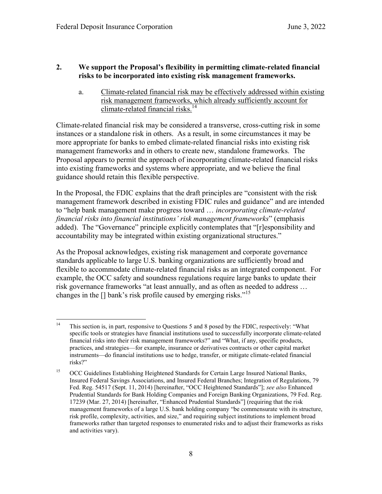#### **2. We support the Proposal's flexibility in permitting climate-related financial risks to be incorporated into existing risk management frameworks.**

a. Climate-related financial risk may be effectively addressed within existing risk management frameworks, which already sufficiently account for climate-related financial risks. 14

Climate-related financial risk may be considered a transverse, cross-cutting risk in some instances or a standalone risk in others. As a result, in some circumstances it may be more appropriate for banks to embed climate-related financial risks into existing risk management frameworks and in others to create new, standalone frameworks. The Proposal appears to permit the approach of incorporating climate-related financial risks into existing frameworks and systems where appropriate, and we believe the final guidance should retain this flexible perspective.

In the Proposal, the FDIC explains that the draft principles are "consistent with the risk management framework described in existing FDIC rules and guidance" and are intended to "help bank management make progress toward … *incorporating climate-related financial risks into financial institutions' risk management frameworks*" (emphasis added). The "Governance" principle explicitly contemplates that "[r]esponsibility and accountability may be integrated within existing organizational structures."

As the Proposal acknowledges, existing risk management and corporate governance standards applicable to large U.S. banking organizations are sufficiently broad and flexible to accommodate climate-related financial risks as an integrated component. For example, the OCC safety and soundness regulations require large banks to update their risk governance frameworks "at least annually, and as often as needed to address … changes in the  $\left[\right]$  bank's risk profile caused by emerging risks."<sup>15</sup>

<sup>&</sup>lt;sup>14</sup> This section is, in part, responsive to Questions 5 and 8 posed by the FDIC, respectively: "What specific tools or strategies have financial institutions used to successfully incorporate climate-related financial risks into their risk management frameworks?" and "What, if any, specific products, practices, and strategies—for example, insurance or derivatives contracts or other capital market instruments—do financial institutions use to hedge, transfer, or mitigate climate-related financial risks?"

<sup>&</sup>lt;sup>15</sup> OCC Guidelines Establishing Heightened Standards for Certain Large Insured National Banks, Insured Federal Savings Associations, and Insured Federal Branches; Integration of Regulations, 79 Fed. Reg. 54517 (Sept. 11, 2014) [hereinafter, "OCC Heightened Standards"]; *see also* Enhanced Prudential Standards for Bank Holding Companies and Foreign Banking Organizations, 79 Fed. Reg. 17239 (Mar. 27, 2014) [hereinafter, "Enhanced Prudential Standards"] (requiring that the risk management frameworks of a large U.S. bank holding company "be commensurate with its structure, risk profile, complexity, activities, and size," and requiring subject institutions to implement broad frameworks rather than targeted responses to enumerated risks and to adjust their frameworks as risks and activities vary).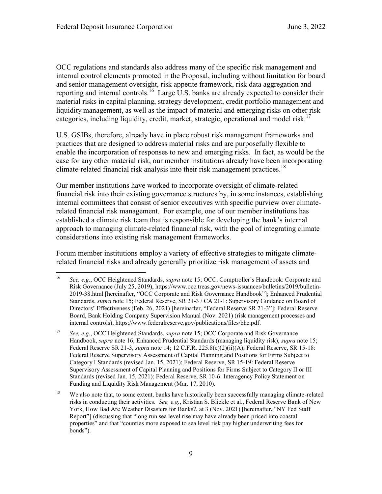OCC regulations and standards also address many of the specific risk management and internal control elements promoted in the Proposal, including without limitation for board and senior management oversight, risk appetite framework, risk data aggregation and reporting and internal controls.<sup>16</sup> Large U.S. banks are already expected to consider their material risks in capital planning, strategy development, credit portfolio management and liquidity management, as well as the impact of material and emerging risks on other risk categories, including liquidity, credit, market, strategic, operational and model risk. 17

U.S. GSIBs, therefore, already have in place robust risk management frameworks and practices that are designed to address material risks and are purposefully flexible to enable the incorporation of responses to new and emerging risks.In fact, as would be the case for any other material risk, our member institutions already have been incorporating climate-related financial risk analysis into their risk management practices.<sup>18</sup>

Our member institutions have worked to incorporate oversight of climate-related financial risk into their existing governance structures by, in some instances, establishing internal committees that consist of senior executives with specific purview over climaterelated financial risk management. For example, one of our member institutions has established a climate risk team that is responsible for developing the bank's internal approach to managing climate-related financial risk, with the goal of integrating climate considerations into existing risk management frameworks.

Forum member institutions employ a variety of effective strategies to mitigate climaterelated financial risks and already generally prioritize risk management of assets and

 <sup>16</sup> *See, e.g.*, OCC Heightened Standards, *supra* note <sup>15</sup>; OCC, Comptroller's Handbook: Corporate and Risk Governance (July 25, 2019), https://www.occ.treas.gov/news-issuances/bulletins/2019/bulletin-2019-38.html [hereinafter, "OCC Corporate and Risk Governance Handbook"]; Enhanced Prudential Standards, *supra* note 15; Federal Reserve, SR 21-3 / CA 21-1: Supervisory Guidance on Board of Directors' Effectiveness (Feb. 26, 2021) [hereinafter, "Federal Reserve SR 21-3"]; Federal Reserve Board, Bank Holding Company Supervision Manual (Nov. 2021) (risk management processes and internal controls), https://www.federalreserve.gov/publications/files/bhc.pdf.

<sup>17</sup> *See, e.g.*, OCC Heightened Standards, *supra* note 15; OCC Corporate and Risk Governance Handbook, *supra* note 16; Enhanced Prudential Standards (managing liquidity risk), *supra* note 15; Federal Reserve SR 21-3, *supra* note 14; 12 C.F.R. 225.8(e)(2)(ii)(A); Federal Reserve, SR 15-18: Federal Reserve Supervisory Assessment of Capital Planning and Positions for Firms Subject to Category I Standards (revised Jan. 15, 2021); Federal Reserve, SR 15-19: Federal Reserve Supervisory Assessment of Capital Planning and Positions for Firms Subject to Category II or III Standards (revised Jan. 15, 2021); Federal Reserve, SR 10-6: Interagency Policy Statement on Funding and Liquidity Risk Management (Mar. 17, 2010).

<sup>&</sup>lt;sup>18</sup> We also note that, to some extent, banks have historically been successfully managing climate-related risks in conducting their activities. *See, e.g.*, Kristian S. Blickle et al., Federal Reserve Bank of New York, How Bad Are Weather Disasters for Banks?, at 3 (Nov. 2021) [hereinafter, "NY Fed Staff Report"] (discussing that "long run sea level rise may have already been priced into coastal properties" and that "counties more exposed to sea level risk pay higher underwriting fees for bonds").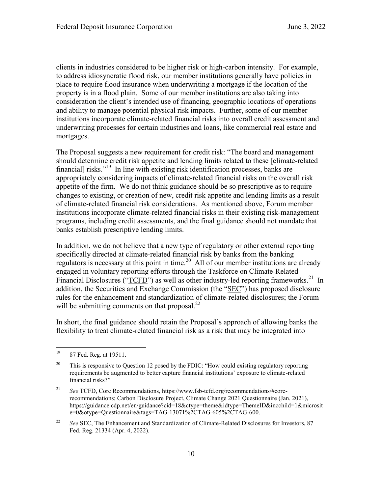clients in industries considered to be higher risk or high-carbon intensity. For example, to address idiosyncratic flood risk, our member institutions generally have policies in place to require flood insurance when underwriting a mortgage if the location of the property is in a flood plain. Some of our member institutions are also taking into consideration the client's intended use of financing, geographic locations of operations and ability to manage potential physical risk impacts. Further, some of our member institutions incorporate climate-related financial risks into overall credit assessment and underwriting processes for certain industries and loans, like commercial real estate and mortgages.

The Proposal suggests a new requirement for credit risk: "The board and management should determine credit risk appetite and lending limits related to these [climate-related financial] risks."19 In line with existing risk identification processes, banks are appropriately considering impacts of climate-related financial risks on the overall risk appetite of the firm. We do not think guidance should be so prescriptive as to require changes to existing, or creation of new, credit risk appetite and lending limits as a result of climate-related financial risk considerations. As mentioned above, Forum member institutions incorporate climate-related financial risks in their existing risk-management programs, including credit assessments, and the final guidance should not mandate that banks establish prescriptive lending limits.

In addition, we do not believe that a new type of regulatory or other external reporting specifically directed at climate-related financial risk by banks from the banking regulators is necessary at this point in time.<sup>20</sup> All of our member institutions are already engaged in voluntary reporting efforts through the Taskforce on Climate-Related Financial Disclosures (" $\overline{\text{TCFD}}$ ") as well as other industry-led reporting frameworks.<sup>21</sup> In addition, the Securities and Exchange Commission (the "SEC") has proposed disclosure rules for the enhancement and standardization of climate-related disclosures; the Forum will be submitting comments on that proposal. $^{22}$ 

In short, the final guidance should retain the Proposal's approach of allowing banks the flexibility to treat climate-related financial risk as a risk that may be integrated into

 <sup>19</sup> 87 Fed. Reg. at 19511.

<sup>&</sup>lt;sup>20</sup> This is responsive to Question 12 posed by the FDIC: "How could existing regulatory reporting requirements be augmented to better capture financial institutions' exposure to climate-related financial risks?"

<sup>21</sup> *See* TCFD, Core Recommendations, https://www.fsb-tcfd.org/recommendations/#corerecommendations; Carbon Disclosure Project, Climate Change 2021 Questionnaire (Jan. 2021), https://guidance.cdp.net/en/guidance?cid=18&ctype=theme&idtype=ThemeID&incchild=1&microsit e=0&otype=Questionnaire&tags=TAG-13071%2CTAG-605%2CTAG-600.

<sup>&</sup>lt;sup>22</sup> *See* SEC. The Enhancement and Standardization of Climate-Related Disclosures for Investors, 87 Fed. Reg. 21334 (Apr. 4, 2022).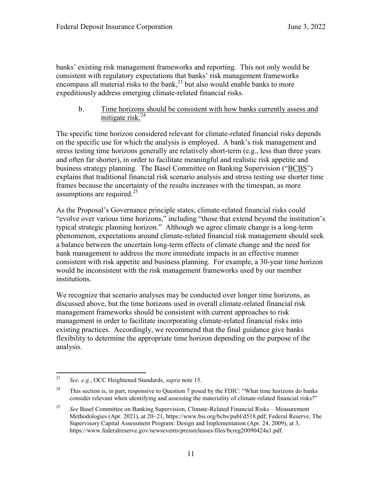banks' existing risk management frameworks and reporting. This not only would be consistent with regulatory expectations that banks' risk management frameworks encompass all material risks to the bank, <sup>23</sup> but also would enable banks to more expeditiously address emerging climate-related financial risks.

b. Time horizons should be consistent with how banks currently assess and mitigate risk.<sup>24</sup>

The specific time horizon considered relevant for climate-related financial risks depends on the specific use for which the analysis is employed. A bank's risk management and stress testing time horizons generally are relatively short-term (e.g., less than three years and often far shorter), in order to facilitate meaningful and realistic risk appetite and business strategy planning. The Basel Committee on Banking Supervision ("BCBS") explains that traditional financial risk scenario analysis and stress testing use shorter time frames because the uncertainty of the results increases with the timespan, as more assumptions are required.<sup>25</sup>

As the Proposal's Governance principle states, climate-related financial risks could "evolve over various time horizons," including "those that extend beyond the institution's typical strategic planning horizon." Although we agree climate change is a long-term phenomenon, expectations around climate-related financial risk management should seek a balance between the uncertain long-term effects of climate change and the need for bank management to address the more immediate impacts in an effective manner consistent with risk appetite and business planning. For example, a 30-year time horizon would be inconsistent with the risk management frameworks used by our member institutions.

We recognize that scenario analyses may be conducted over longer time horizons, as discussed above, but the time horizons used in overall climate-related financial risk management frameworks should be consistent with current approaches to risk management in order to facilitate incorporating climate-related financial risks into existing practices. Accordingly, we recommend that the final guidance give banks flexibility to determine the appropriate time horizon depending on the purpose of the analysis.

 <sup>23</sup> *See, e.g.*, OCC Heightened Standards, *supra* note 15.

<sup>&</sup>lt;sup>24</sup> This section is, in part, responsive to Question 7 posed by the FDIC: "What time horizons do banks" consider relevant when identifying and assessing the materiality of climate-related financial risks?"

<sup>&</sup>lt;sup>25</sup> *See* Basel Committee on Banking Supervision, Climate-Related Financial Risks – Measurement Methodologies (Apr. 2021), at 20–21, https://www.bis.org/bcbs/publ/d518.pdf; Federal Reserve, The Supervisory Capital Assessment Program: Design and Implementation (Apr. 24, 2009), at 3, https://www.federalreserve.gov/newsevents/pressreleases/files/bcreg20090424a1.pdf.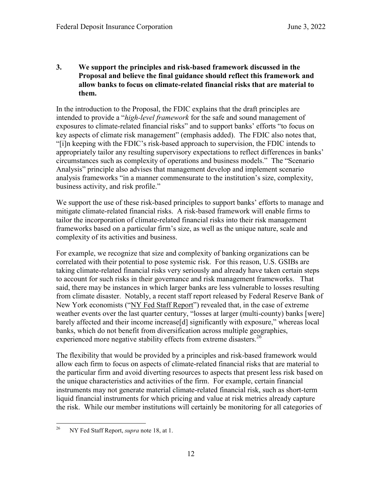**3. We support the principles and risk-based framework discussed in the Proposal and believe the final guidance should reflect this framework and allow banks to focus on climate-related financial risks that are material to them.**

In the introduction to the Proposal, the FDIC explains that the draft principles are intended to provide a "*high-level framework* for the safe and sound management of exposures to climate-related financial risks" and to support banks' efforts "to focus on key aspects of climate risk management" (emphasis added). The FDIC also notes that, "[i]n keeping with the FDIC's risk-based approach to supervision, the FDIC intends to appropriately tailor any resulting supervisory expectations to reflect differences in banks' circumstances such as complexity of operations and business models." The "Scenario Analysis" principle also advises that management develop and implement scenario analysis frameworks "in a manner commensurate to the institution's size, complexity, business activity, and risk profile."

We support the use of these risk-based principles to support banks' efforts to manage and mitigate climate-related financial risks. A risk-based framework will enable firms to tailor the incorporation of climate-related financial risks into their risk management frameworks based on a particular firm's size, as well as the unique nature, scale and complexity of its activities and business.

For example, we recognize that size and complexity of banking organizations can be correlated with their potential to pose systemic risk. For this reason, U.S. GSIBs are taking climate-related financial risks very seriously and already have taken certain steps to account for such risks in their governance and risk management frameworks. That said, there may be instances in which larger banks are less vulnerable to losses resulting from climate disaster. Notably, a recent staff report released by Federal Reserve Bank of New York economists ("NY Fed Staff Report") revealed that, in the case of extreme weather events over the last quarter century, "losses at larger (multi-county) banks [were] barely affected and their income increase[d] significantly with exposure," whereas local banks, which do not benefit from diversification across multiple geographies, experienced more negative stability effects from extreme disasters.<sup>26</sup>

The flexibility that would be provided by a principles and risk-based framework would allow each firm to focus on aspects of climate-related financial risks that are material to the particular firm and avoid diverting resources to aspects that present less risk based on the unique characteristics and activities of the firm. For example, certain financial instruments may not generate material climate-related financial risk, such as short-term liquid financial instruments for which pricing and value at risk metrics already capture the risk. While our member institutions will certainly be monitoring for all categories of

 <sup>26</sup> NY Fed Staff Report, *supra* note 18, at 1.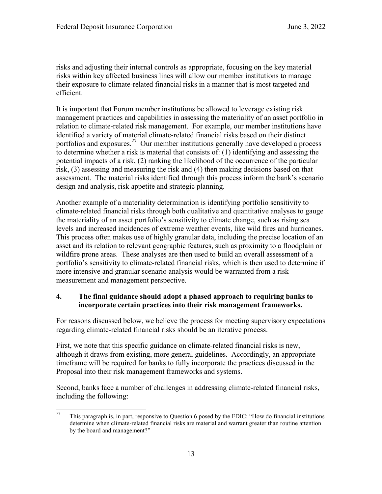risks and adjusting their internal controls as appropriate, focusing on the key material risks within key affected business lines will allow our member institutions to manage their exposure to climate-related financial risks in a manner that is most targeted and efficient.

It is important that Forum member institutions be allowed to leverage existing risk management practices and capabilities in assessing the materiality of an asset portfolio in relation to climate-related risk management. For example, our member institutions have identified a variety of material climate-related financial risks based on their distinct portfolios and exposures.<sup>27</sup> Our member institutions generally have developed a process to determine whether a risk is material that consists of: (1) identifying and assessing the potential impacts of a risk, (2) ranking the likelihood of the occurrence of the particular risk, (3) assessing and measuring the risk and (4) then making decisions based on that assessment. The material risks identified through this process inform the bank's scenario design and analysis, risk appetite and strategic planning.

Another example of a materiality determination is identifying portfolio sensitivity to climate-related financial risks through both qualitative and quantitative analyses to gauge the materiality of an asset portfolio's sensitivity to climate change, such as rising sea levels and increased incidences of extreme weather events, like wild fires and hurricanes. This process often makes use of highly granular data, including the precise location of an asset and its relation to relevant geographic features, such as proximity to a floodplain or wildfire prone areas. These analyses are then used to build an overall assessment of a portfolio's sensitivity to climate-related financial risks, which is then used to determine if more intensive and granular scenario analysis would be warranted from a risk measurement and management perspective.

### **4. The final guidance should adopt a phased approach to requiring banks to incorporate certain practices into their risk management frameworks.**

For reasons discussed below, we believe the process for meeting supervisory expectations regarding climate-related financial risks should be an iterative process.

First, we note that this specific guidance on climate-related financial risks is new, although it draws from existing, more general guidelines. Accordingly, an appropriate timeframe will be required for banks to fully incorporate the practices discussed in the Proposal into their risk management frameworks and systems.

Second, banks face a number of challenges in addressing climate-related financial risks, including the following:

<sup>&</sup>lt;sup>27</sup> This paragraph is, in part, responsive to Question 6 posed by the FDIC: "How do financial institutions" determine when climate-related financial risks are material and warrant greater than routine attention by the board and management?"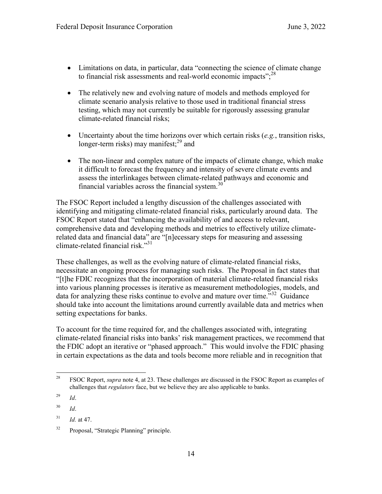- $\bullet$  Limitations on data, in particular, data "connecting the science of climate change to financial risk assessments and real-world economic impacts"; $^{28}$
- The relatively new and evolving nature of models and methods employed for climate scenario analysis relative to those used in traditional financial stress testing, which may not currently be suitable for rigorously assessing granular climate-related financial risks;
- x Uncertainty about the time horizons over which certain risks (*e.g.*, transition risks, longer-term risks) may manifest; $^{29}$  and
- The non-linear and complex nature of the impacts of climate change, which make it difficult to forecast the frequency and intensity of severe climate events and assess the interlinkages between climate-related pathways and economic and financial variables across the financial system. $30$

The FSOC Report included a lengthy discussion of the challenges associated with identifying and mitigating climate-related financial risks, particularly around data. The FSOC Report stated that "enhancing the availability of and access to relevant, comprehensive data and developing methods and metrics to effectively utilize climaterelated data and financial data" are "[n]ecessary steps for measuring and assessing climate-related financial risk. $"^{31}$ 

These challenges, as well as the evolving nature of climate-related financial risks, necessitate an ongoing process for managing such risks. The Proposal in fact states that "[t]he FDIC recognizes that the incorporation of material climate-related financial risks into various planning processes is iterative as measurement methodologies, models, and data for analyzing these risks continue to evolve and mature over time."<sup>32</sup> Guidance should take into account the limitations around currently available data and metrics when setting expectations for banks.

To account for the time required for, and the challenges associated with, integrating climate-related financial risks into banks' risk management practices, we recommend that the FDIC adopt an iterative or "phased approach." This would involve the FDIC phasing in certain expectations as the data and tools become more reliable and in recognition that

 <sup>28</sup> FSOC Report, *supra* note 4, at 23. These challenges are discussed in the FSOC Report as examples of challenges that *regulators* face, but we believe they are also applicable to banks.

<sup>29</sup> *Id*.

<sup>30</sup> *Id*.

<sup>31</sup> *Id.* at 47.

<sup>32</sup> Proposal, "Strategic Planning" principle.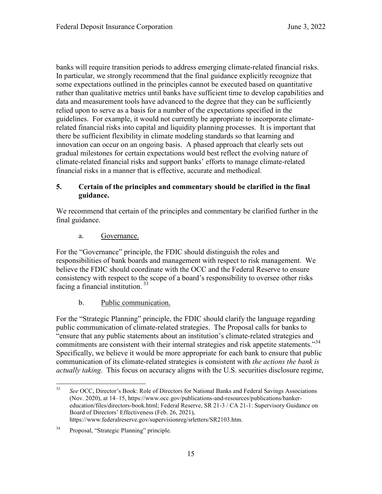banks will require transition periods to address emerging climate-related financial risks. In particular, we strongly recommend that the final guidance explicitly recognize that some expectations outlined in the principles cannot be executed based on quantitative rather than qualitative metrics until banks have sufficient time to develop capabilities and data and measurement tools have advanced to the degree that they can be sufficiently relied upon to serve as a basis for a number of the expectations specified in the guidelines. For example, it would not currently be appropriate to incorporate climaterelated financial risks into capital and liquidity planning processes. It is important that there be sufficient flexibility in climate modeling standards so that learning and innovation can occur on an ongoing basis. A phased approach that clearly sets out gradual milestones for certain expectations would best reflect the evolving nature of climate-related financial risks and support banks' efforts to manage climate-related financial risks in a manner that is effective, accurate and methodical.

## **5. Certain of the principles and commentary should be clarified in the final guidance.**

We recommend that certain of the principles and commentary be clarified further in the final guidance.

## a. Governance.

For the "Governance" principle, the FDIC should distinguish the roles and responsibilities of bank boards and management with respect to risk management. We believe the FDIC should coordinate with the OCC and the Federal Reserve to ensure consistency with respect to the scope of a board's responsibility to oversee other risks facing a financial institution. 33

# b. Public communication.

For the "Strategic Planning" principle, the FDIC should clarify the language regarding public communication of climate-related strategies. The Proposal calls for banks to "ensure that any public statements about an institution's climate-related strategies and commitments are consistent with their internal strategies and risk appetite statements."<sup>34</sup> Specifically, we believe it would be more appropriate for each bank to ensure that public communication of its climate-related strategies is consistent with *the actions the bank is actually taking*. This focus on accuracy aligns with the U.S. securities disclosure regime,

 <sup>33</sup> *See* OCC, Director's Book: Role of Directors for National Banks and Federal Savings Associations (Nov. 2020), at 14–15, https://www.occ.gov/publications-and-resources/publications/bankereducation/files/directors-book.html; Federal Reserve, SR 21-3 / CA 21-1: Supervisory Guidance on Board of Directors' Effectiveness (Feb. 26, 2021), https://www.federalreserve.gov/supervisionreg/srletters/SR2103.htm.

<sup>34</sup> Proposal, "Strategic Planning" principle.